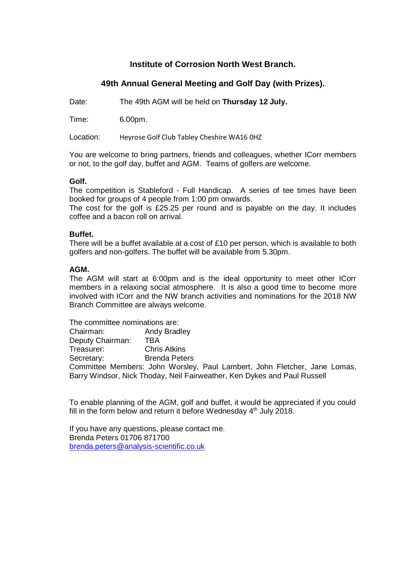## **Institute of Corrosion North West Branch.**

# **49th Annual General Meeting and Golf Day (with Prizes).**

Date: The 49th AGM will be held on **Thursday 12 July.**

Time: 6.00pm.

Location: Heyrose Golf Club Tabley Cheshire WA16 0HZ

You are welcome to bring partners, friends and colleagues, whether ICorr members or not, to the golf day, buffet and AGM. Teams of golfers are welcome.

### **Golf.**

The competition is Stableford - Full Handicap. A series of tee times have been booked for groups of 4 people from 1:00 pm onwards.

The cost for the golf is £25.25 per round and is payable on the day. It includes coffee and a bacon roll on arrival.

### **Buffet.**

There will be a buffet available at a cost of  $£10$  per person, which is available to both golfers and non-golfers. The buffet will be available from 5.30pm.

### **AGM.**

The AGM will start at 6:00pm and is the ideal opportunity to meet other ICorr members in a relaxing social atmosphere. It is also a good time to become more involved with ICorr and the NW branch activities and nominations for the 2018 NW Branch Committee are always welcome.

The committee nominations are: Chairman: Andy Bradley<br>Deputy Chairman: TBA **Deputy Chairman: TBA<br>Treasurer: Chris Atkins** Treasurer: Secretary: Brenda Peters Committee Members: John Worsley, Paul Lambert, John Fletcher, Jane Lomas, Barry Windsor, Nick Thoday, Neil Fairweather, Ken Dykes and Paul Russell

To enable planning of the AGM, golf and buffet, it would be appreciated if you could fill in the form below and return it before Wednesday 4<sup>th</sup> July 2018.

If you have any questions, please contact me. Brenda Peters 01706 871700 [brenda.peters@analysis-scientific.co.uk](mailto:brenda.peters@analysis-scientific.co.uk)